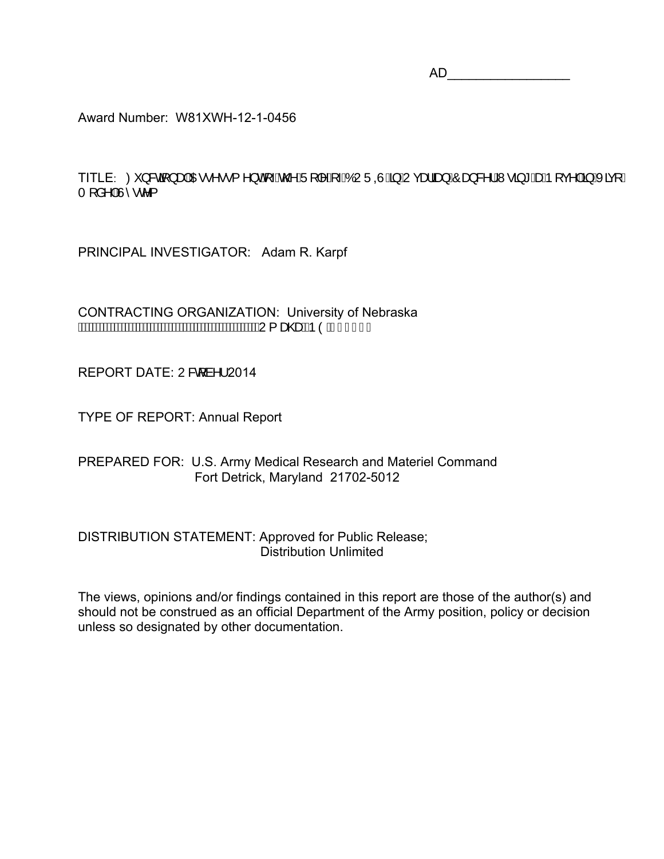$AD$ 

Award Number: W81XWH-12-1-0456

TITLE: Ø}&Gi}æÁDE•^••{^}oh{Áo2AÜ||^Á ÁÓUÜQÙÁBÁUçæläæ)ÁÔæ}&^¦ÁW-āj\*ÁæÁÞ| ç^|ÁBÁKäç|Á  $TI$ å^ $|\hat{A}\rangle \cdot e \cdot$ 

PRINCIPAL INVESTIGATOR: Adam R. Karpf

CONTRACTING ORGANIZATION: University of Nebraska **MANAMANAMANAMANAMANAMANAMANANAN {** ascered OA Í FJI Á

REPORT DATE: U& à^ 2014

TYPE OF REPORT: Annual Report

PREPARED FOR: U.S. Army Medical Research and Materiel Command Fort Detrick, Maryland 21702-5012

DISTRIBUTION STATEMENT: Approved for Public Release; Distribution Unlimited

The views, opinions and/or findings contained in this report are those of the author(s) and should not be construed as an official Department of the Army position, policy or decision unless so designated by other documentation.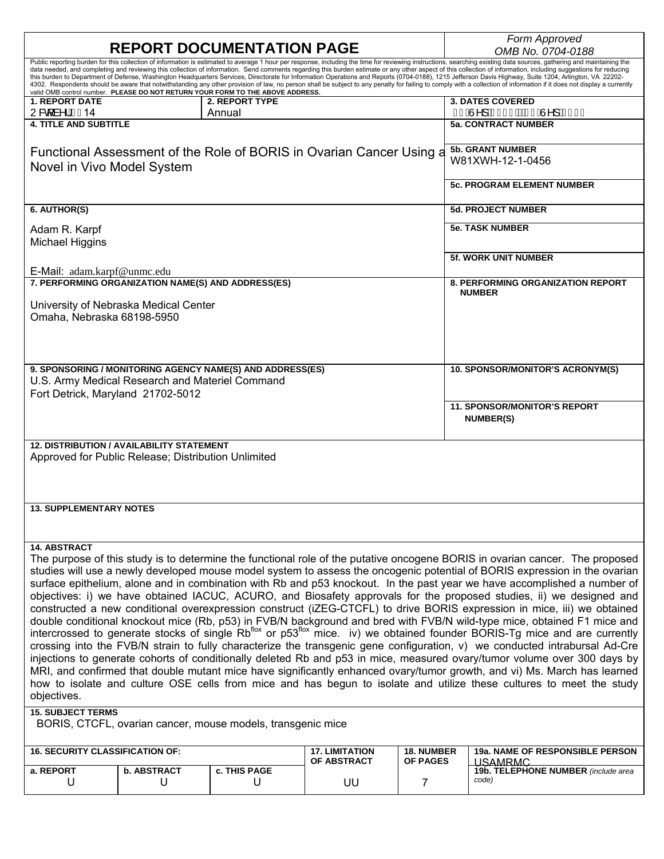| <b>REPORT DOCUMENTATION PAGE</b>                                                                                                                                                                                      |                    |                                                                                                  |                                      |                                      | Form Approved<br>OMB No. 0704-0188                                                                                                                                                                                                                                                                                                                                                                                               |  |
|-----------------------------------------------------------------------------------------------------------------------------------------------------------------------------------------------------------------------|--------------------|--------------------------------------------------------------------------------------------------|--------------------------------------|--------------------------------------|----------------------------------------------------------------------------------------------------------------------------------------------------------------------------------------------------------------------------------------------------------------------------------------------------------------------------------------------------------------------------------------------------------------------------------|--|
| Public reporting burden for this collection of information is estimated to average 1 hour per response, including the time for reviewing instructions, searching existing data sources, gathering and maintaining the |                    |                                                                                                  |                                      |                                      |                                                                                                                                                                                                                                                                                                                                                                                                                                  |  |
|                                                                                                                                                                                                                       |                    |                                                                                                  |                                      |                                      | data needed, and completing and reviewing this collection of information. Send comments regarding this burden estimate or any other aspect of this collection of information, including suggestions for reducing                                                                                                                                                                                                                 |  |
|                                                                                                                                                                                                                       |                    |                                                                                                  |                                      |                                      | this burden to Department of Defense, Washington Headquarters Services, Directorate for Information Operations and Reports (0704-0188), 1215 Jefferson Davis Highway, Suite 1204, Arlington, VA 22202-<br>4302. Respondents should be aware that notwithstanding any other provision of law, no person shall be subject to any penalty for failing to comply with a collection of information if it does not display a currently |  |
| <b>1. REPORT DATE</b>                                                                                                                                                                                                 |                    | valid OMB control number. PLEASE DO NOT RETURN YOUR FORM TO THE ABOVE ADDRESS.<br>2. REPORT TYPE |                                      |                                      | <b>3. DATES COVERED</b>                                                                                                                                                                                                                                                                                                                                                                                                          |  |
| U&d à^¦ÁG€14                                                                                                                                                                                                          |                    | Annual                                                                                           |                                      |                                      | HEÂM AGEFHARAGU ÂM AGEFI                                                                                                                                                                                                                                                                                                                                                                                                         |  |
| <b>4. TITLE AND SUBTITLE</b>                                                                                                                                                                                          |                    |                                                                                                  |                                      |                                      | <b>5a. CONTRACT NUMBER</b>                                                                                                                                                                                                                                                                                                                                                                                                       |  |
|                                                                                                                                                                                                                       |                    |                                                                                                  |                                      |                                      |                                                                                                                                                                                                                                                                                                                                                                                                                                  |  |
|                                                                                                                                                                                                                       |                    |                                                                                                  |                                      |                                      | <b>5b. GRANT NUMBER</b>                                                                                                                                                                                                                                                                                                                                                                                                          |  |
| Functional Assessment of the Role of BORIS in Ovarian Cancer Using a                                                                                                                                                  |                    |                                                                                                  |                                      |                                      | W81XWH-12-1-0456                                                                                                                                                                                                                                                                                                                                                                                                                 |  |
| Novel in Vivo Model System                                                                                                                                                                                            |                    |                                                                                                  |                                      |                                      |                                                                                                                                                                                                                                                                                                                                                                                                                                  |  |
|                                                                                                                                                                                                                       |                    |                                                                                                  |                                      |                                      | <b>5c. PROGRAM ELEMENT NUMBER</b>                                                                                                                                                                                                                                                                                                                                                                                                |  |
|                                                                                                                                                                                                                       |                    |                                                                                                  |                                      |                                      |                                                                                                                                                                                                                                                                                                                                                                                                                                  |  |
| 6. AUTHOR(S)                                                                                                                                                                                                          |                    |                                                                                                  |                                      |                                      | <b>5d. PROJECT NUMBER</b>                                                                                                                                                                                                                                                                                                                                                                                                        |  |
|                                                                                                                                                                                                                       |                    |                                                                                                  |                                      |                                      |                                                                                                                                                                                                                                                                                                                                                                                                                                  |  |
| Adam R. Karpf                                                                                                                                                                                                         |                    |                                                                                                  |                                      |                                      | <b>5e. TASK NUMBER</b>                                                                                                                                                                                                                                                                                                                                                                                                           |  |
| Michael Higgins                                                                                                                                                                                                       |                    |                                                                                                  |                                      |                                      |                                                                                                                                                                                                                                                                                                                                                                                                                                  |  |
|                                                                                                                                                                                                                       |                    |                                                                                                  |                                      |                                      | <b>5f. WORK UNIT NUMBER</b>                                                                                                                                                                                                                                                                                                                                                                                                      |  |
| E-Mail: adam.karpf@unmc.edu                                                                                                                                                                                           |                    |                                                                                                  |                                      |                                      |                                                                                                                                                                                                                                                                                                                                                                                                                                  |  |
| 7. PERFORMING ORGANIZATION NAME(S) AND ADDRESS(ES)                                                                                                                                                                    |                    |                                                                                                  |                                      |                                      | <b>8. PERFORMING ORGANIZATION REPORT</b>                                                                                                                                                                                                                                                                                                                                                                                         |  |
|                                                                                                                                                                                                                       |                    |                                                                                                  |                                      |                                      | <b>NUMBER</b>                                                                                                                                                                                                                                                                                                                                                                                                                    |  |
| University of Nebraska Medical Center                                                                                                                                                                                 |                    |                                                                                                  |                                      |                                      |                                                                                                                                                                                                                                                                                                                                                                                                                                  |  |
| Omaha, Nebraska 68198-5950                                                                                                                                                                                            |                    |                                                                                                  |                                      |                                      |                                                                                                                                                                                                                                                                                                                                                                                                                                  |  |
|                                                                                                                                                                                                                       |                    |                                                                                                  |                                      |                                      |                                                                                                                                                                                                                                                                                                                                                                                                                                  |  |
|                                                                                                                                                                                                                       |                    |                                                                                                  |                                      |                                      |                                                                                                                                                                                                                                                                                                                                                                                                                                  |  |
|                                                                                                                                                                                                                       |                    |                                                                                                  |                                      |                                      |                                                                                                                                                                                                                                                                                                                                                                                                                                  |  |
| 9. SPONSORING / MONITORING AGENCY NAME(S) AND ADDRESS(ES)                                                                                                                                                             |                    |                                                                                                  |                                      |                                      | 10. SPONSOR/MONITOR'S ACRONYM(S)                                                                                                                                                                                                                                                                                                                                                                                                 |  |
| U.S. Army Medical Research and Materiel Command                                                                                                                                                                       |                    |                                                                                                  |                                      |                                      |                                                                                                                                                                                                                                                                                                                                                                                                                                  |  |
| Fort Detrick, Maryland 21702-5012                                                                                                                                                                                     |                    |                                                                                                  |                                      |                                      |                                                                                                                                                                                                                                                                                                                                                                                                                                  |  |
|                                                                                                                                                                                                                       |                    |                                                                                                  |                                      |                                      | <b>11. SPONSOR/MONITOR'S REPORT</b>                                                                                                                                                                                                                                                                                                                                                                                              |  |
|                                                                                                                                                                                                                       |                    |                                                                                                  |                                      |                                      | <b>NUMBER(S)</b>                                                                                                                                                                                                                                                                                                                                                                                                                 |  |
|                                                                                                                                                                                                                       |                    |                                                                                                  |                                      |                                      |                                                                                                                                                                                                                                                                                                                                                                                                                                  |  |
| <b>12. DISTRIBUTION / AVAILABILITY STATEMENT</b>                                                                                                                                                                      |                    |                                                                                                  |                                      |                                      |                                                                                                                                                                                                                                                                                                                                                                                                                                  |  |
| Approved for Public Release; Distribution Unlimited                                                                                                                                                                   |                    |                                                                                                  |                                      |                                      |                                                                                                                                                                                                                                                                                                                                                                                                                                  |  |
|                                                                                                                                                                                                                       |                    |                                                                                                  |                                      |                                      |                                                                                                                                                                                                                                                                                                                                                                                                                                  |  |
|                                                                                                                                                                                                                       |                    |                                                                                                  |                                      |                                      |                                                                                                                                                                                                                                                                                                                                                                                                                                  |  |
|                                                                                                                                                                                                                       |                    |                                                                                                  |                                      |                                      |                                                                                                                                                                                                                                                                                                                                                                                                                                  |  |
| <b>13. SUPPLEMENTARY NOTES</b>                                                                                                                                                                                        |                    |                                                                                                  |                                      |                                      |                                                                                                                                                                                                                                                                                                                                                                                                                                  |  |
|                                                                                                                                                                                                                       |                    |                                                                                                  |                                      |                                      |                                                                                                                                                                                                                                                                                                                                                                                                                                  |  |
|                                                                                                                                                                                                                       |                    |                                                                                                  |                                      |                                      |                                                                                                                                                                                                                                                                                                                                                                                                                                  |  |
| <b>14. ABSTRACT</b>                                                                                                                                                                                                   |                    |                                                                                                  |                                      |                                      |                                                                                                                                                                                                                                                                                                                                                                                                                                  |  |
| The purpose of this study is to determine the functional role of the putative oncogene BORIS in ovarian cancer. The proposed                                                                                          |                    |                                                                                                  |                                      |                                      |                                                                                                                                                                                                                                                                                                                                                                                                                                  |  |
| studies will use a newly developed mouse model system to assess the oncogenic potential of BORIS expression in the ovarian                                                                                            |                    |                                                                                                  |                                      |                                      |                                                                                                                                                                                                                                                                                                                                                                                                                                  |  |
| surface epithelium, alone and in combination with Rb and p53 knockout. In the past year we have accomplished a number of                                                                                              |                    |                                                                                                  |                                      |                                      |                                                                                                                                                                                                                                                                                                                                                                                                                                  |  |
| objectives: i) we have obtained IACUC, ACURO, and Biosafety approvals for the proposed studies, ii) we designed and                                                                                                   |                    |                                                                                                  |                                      |                                      |                                                                                                                                                                                                                                                                                                                                                                                                                                  |  |
| constructed a new conditional overexpression construct (iZEG-CTCFL) to drive BORIS expression in mice, iii) we obtained                                                                                               |                    |                                                                                                  |                                      |                                      |                                                                                                                                                                                                                                                                                                                                                                                                                                  |  |
| double conditional knockout mice (Rb, p53) in FVB/N background and bred with FVB/N wild-type mice, obtained F1 mice and                                                                                               |                    |                                                                                                  |                                      |                                      |                                                                                                                                                                                                                                                                                                                                                                                                                                  |  |
| intercrossed to generate stocks of single Rb <sup>flox</sup> or p53 <sup>flox</sup> mice. iv) we obtained founder BORIS-Tg mice and are currently                                                                     |                    |                                                                                                  |                                      |                                      |                                                                                                                                                                                                                                                                                                                                                                                                                                  |  |
| crossing into the FVB/N strain to fully characterize the transgenic gene configuration, v) we conducted intrabursal Ad-Cre                                                                                            |                    |                                                                                                  |                                      |                                      |                                                                                                                                                                                                                                                                                                                                                                                                                                  |  |
| injections to generate cohorts of conditionally deleted Rb and p53 in mice, measured ovary/tumor volume over 300 days by                                                                                              |                    |                                                                                                  |                                      |                                      |                                                                                                                                                                                                                                                                                                                                                                                                                                  |  |
| MRI, and confirmed that double mutant mice have significantly enhanced ovary/tumor growth, and vi) Ms. March has learned                                                                                              |                    |                                                                                                  |                                      |                                      |                                                                                                                                                                                                                                                                                                                                                                                                                                  |  |
| how to isolate and culture OSE cells from mice and has begun to isolate and utilize these cultures to meet the study                                                                                                  |                    |                                                                                                  |                                      |                                      |                                                                                                                                                                                                                                                                                                                                                                                                                                  |  |
| objectives.                                                                                                                                                                                                           |                    |                                                                                                  |                                      |                                      |                                                                                                                                                                                                                                                                                                                                                                                                                                  |  |
|                                                                                                                                                                                                                       |                    |                                                                                                  |                                      |                                      |                                                                                                                                                                                                                                                                                                                                                                                                                                  |  |
| <b>15. SUBJECT TERMS</b>                                                                                                                                                                                              |                    |                                                                                                  |                                      |                                      |                                                                                                                                                                                                                                                                                                                                                                                                                                  |  |
| BORIS, CTCFL, ovarian cancer, mouse models, transgenic mice                                                                                                                                                           |                    |                                                                                                  |                                      |                                      |                                                                                                                                                                                                                                                                                                                                                                                                                                  |  |
|                                                                                                                                                                                                                       |                    |                                                                                                  |                                      |                                      |                                                                                                                                                                                                                                                                                                                                                                                                                                  |  |
| <b>16. SECURITY CLASSIFICATION OF:</b>                                                                                                                                                                                |                    |                                                                                                  | <b>17. LIMITATION</b><br>OF ABSTRACT | <b>18. NUMBER</b><br><b>OF PAGES</b> | <b>19a. NAME OF RESPONSIBLE PERSON</b><br><u>USAMRMC</u>                                                                                                                                                                                                                                                                                                                                                                         |  |
| a. REPORT                                                                                                                                                                                                             | <b>b. ABSTRACT</b> | c. THIS PAGE                                                                                     |                                      |                                      | 19b. TELEPHONE NUMBER (include area                                                                                                                                                                                                                                                                                                                                                                                              |  |
| U                                                                                                                                                                                                                     | U                  | U                                                                                                | UU                                   | 7                                    | code)                                                                                                                                                                                                                                                                                                                                                                                                                            |  |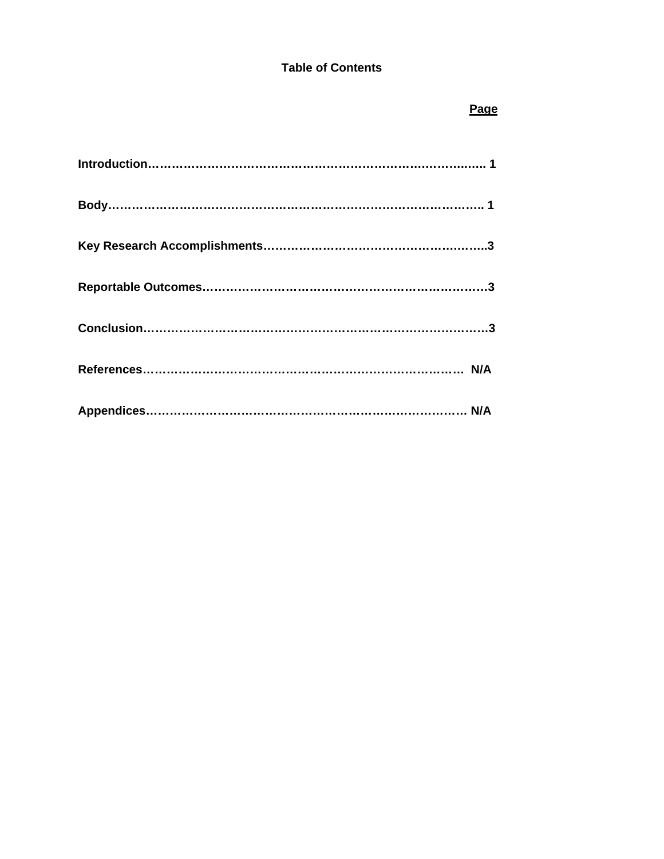## **Table of Contents**

#### *Page*  $\overline{P}$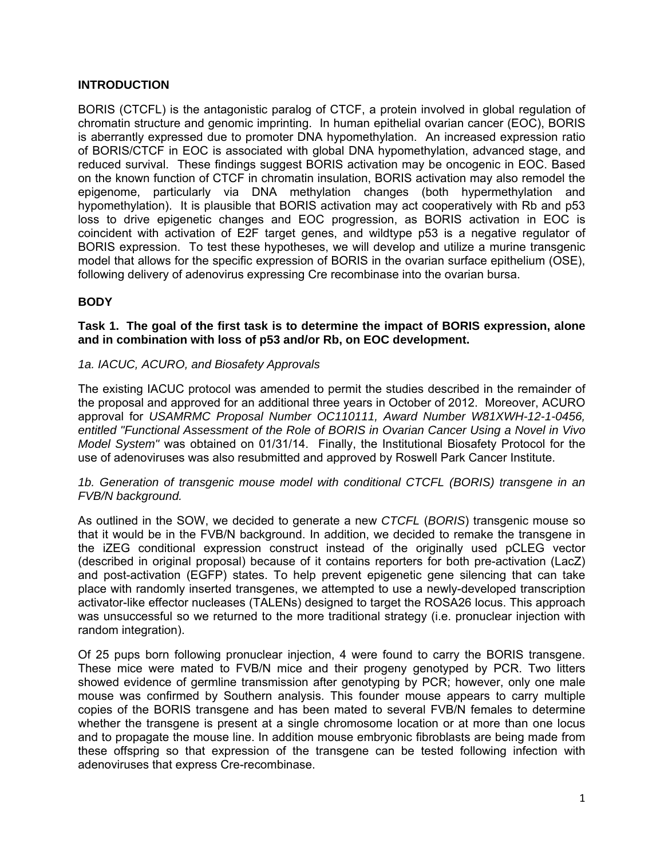## **INTRODUCTION**

BORIS (CTCFL) is the antagonistic paralog of CTCF, a protein involved in global regulation of chromatin structure and genomic imprinting. In human epithelial ovarian cancer (EOC), BORIS is aberrantly expressed due to promoter DNA hypomethylation. An increased expression ratio of BORIS/CTCF in EOC is associated with global DNA hypomethylation, advanced stage, and reduced survival. These findings suggest BORIS activation may be oncogenic in EOC. Based on the known function of CTCF in chromatin insulation, BORIS activation may also remodel the epigenome, particularly via DNA methylation changes (both hypermethylation and hypomethylation). It is plausible that BORIS activation may act cooperatively with Rb and p53 loss to drive epigenetic changes and EOC progression, as BORIS activation in EOC is coincident with activation of E2F target genes, and wildtype p53 is a negative regulator of BORIS expression. To test these hypotheses, we will develop and utilize a murine transgenic model that allows for the specific expression of BORIS in the ovarian surface epithelium (OSE), following delivery of adenovirus expressing Cre recombinase into the ovarian bursa.

## **BODY**

#### **Task 1. The goal of the first task is to determine the impact of BORIS expression, alone and in combination with loss of p53 and/or Rb, on EOC development.**

#### *1a. IACUC, ACURO, and Biosafety Approvals*

The existing IACUC protocol was amended to permit the studies described in the remainder of the proposal and approved for an additional three years in October of 2012. Moreover, ACURO approval for *USAMRMC Proposal Number OC110111, Award Number W81XWH-12-1-0456, entitled "Functional Assessment of the Role of BORIS in Ovarian Cancer Using a Novel in Vivo Model System"* was obtained on 01/31/14. Finally, the Institutional Biosafety Protocol for the use of adenoviruses was also resubmitted and approved by Roswell Park Cancer Institute.

*1b. Generation of transgenic mouse model with conditional CTCFL (BORIS) transgene in an FVB/N background.* 

As outlined in the SOW, we decided to generate a new *CTCFL* (*BORIS*) transgenic mouse so that it would be in the FVB/N background. In addition, we decided to remake the transgene in the iZEG conditional expression construct instead of the originally used pCLEG vector (described in original proposal) because of it contains reporters for both pre-activation (LacZ) and post-activation (EGFP) states. To help prevent epigenetic gene silencing that can take place with randomly inserted transgenes, we attempted to use a newly-developed transcription activator-like effector nucleases (TALENs) designed to target the ROSA26 locus. This approach was unsuccessful so we returned to the more traditional strategy (i.e. pronuclear injection with random integration).

Of 25 pups born following pronuclear injection, 4 were found to carry the BORIS transgene. These mice were mated to FVB/N mice and their progeny genotyped by PCR. Two litters showed evidence of germline transmission after genotyping by PCR; however, only one male mouse was confirmed by Southern analysis. This founder mouse appears to carry multiple copies of the BORIS transgene and has been mated to several FVB/N females to determine whether the transgene is present at a single chromosome location or at more than one locus and to propagate the mouse line. In addition mouse embryonic fibroblasts are being made from these offspring so that expression of the transgene can be tested following infection with adenoviruses that express Cre-recombinase.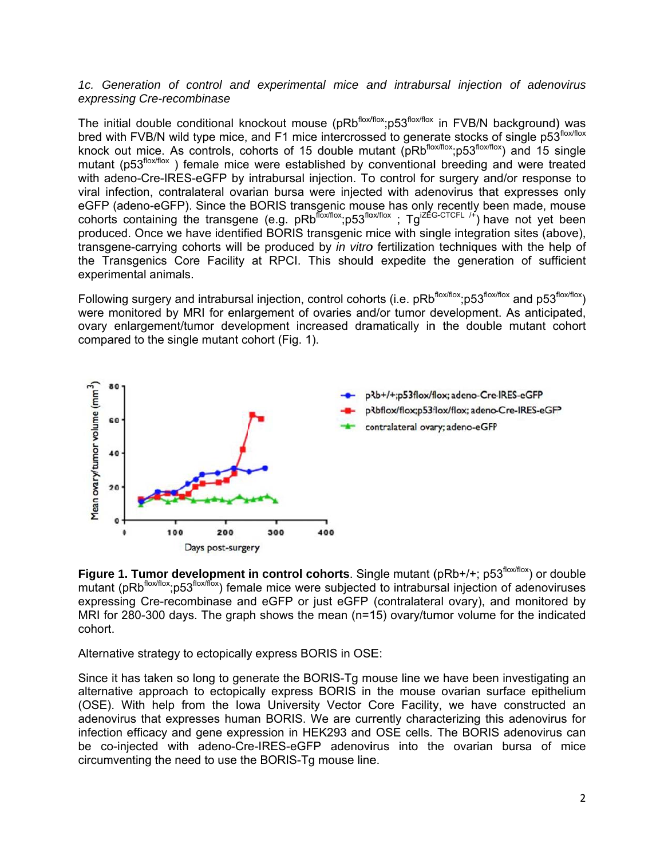#### 1c. Generation of control and experimental mice and intrabursal injection of adenovirus expressing Cre-recombinase

The initial double conditional knockout mouse (pRb<sup>flox/flox</sup>;p53<sup>flox/flox</sup> in FVB/N background) was bred with FVB/N wild type mice, and F1 mice intercrossed to generate stocks of single p53<sup>flox/flox</sup><br>knock out mice. As controls, coborts of 15 double mutant (pBb<sup>flox/flox</sup>:p63<sup>flox/flox</sup>) and 15 single bred with FVB/N wild type mice, and F1 mice intercrossed to generate stocks of single p53"<sup>ox/flox</sup><br>knock out mice. As controls, cohorts of 15 double mutant (pRb<sup>flox/flox</sup>;p53<sup>flox/flox</sup>) and 15 single mutant (p53<sup>flox/flox</sup>) female mice were established by conventional breeding and were treated with adeno-Cre-IRES-eGFP by intrabursal injection. To control for surgery and/or response to viral infection, contralateral ovarian bursa were injected with adenovirus that expresses only eGFP (adeno-eGFP). Since the BORIS transgenic mouse has only recently been made, mouse cohorts containing the transgene (e.g. pRb<sup>flox/flox</sup>;p53<sup>flox/flox</sup>; Tg<sup>iZEG-CTCFL /+</sup>) have not yet been produced. Once we have identified BORIS transgenic mice with single integration sites (above), transgene-carrying cohorts will be produced by *in vitro* fertilization techniques with the help of the Transgenics Core Facility at RPCI. This should expedite the generation of sufficient experimental animals.

Following surgery and intrabursal injection, control cohorts (i.e. pRb<sup>flox/flox</sup>;p53<sup>flox/flox</sup> and p53<sup>flox/flox</sup>) were monitored by MRI for enlargement of ovaries and/or tumor development. As anticipated, ovary enlargement/tumor development increased dramatically in the double mutant cohort compared to the single mutant cohort (Fig. 1).



**Figure 1. Tumor development in control cohorts. Single mutant (pRb+/+; p53<sup>flox/flox</sup>) or double** mutant (pRb<sup>flox/flox</sup>;p53<sup>flox/flox</sup>) female mice were subjected to intrabursal injection of adenoviruses expressing Cre-recombinase and eGFP or just eGFP (contralateral ovary), and monitored by MRI for 280-300 days. The graph shows the mean (n=15) ovary/tumor volume for the indicated cohort.

Alternative strategy to ectopically express BORIS in OSE:

Since it has taken so long to generate the BORIS-Tg mouse line we have been investigating an alternative approach to ectopically express BORIS in the mouse ovarian surface epithelium (OSE). With help from the Iowa University Vector Core Facility, we have constructed an adenovirus that expresses human BORIS. We are currently characterizing this adenovirus for infection efficacy and gene expression in HEK293 and OSE cells. The BORIS adenovirus can be co-injected with adeno-Cre-IRES-eGFP adenovirus into the ovarian bursa of mice circumventing the need to use the BORIS-Tg mouse line.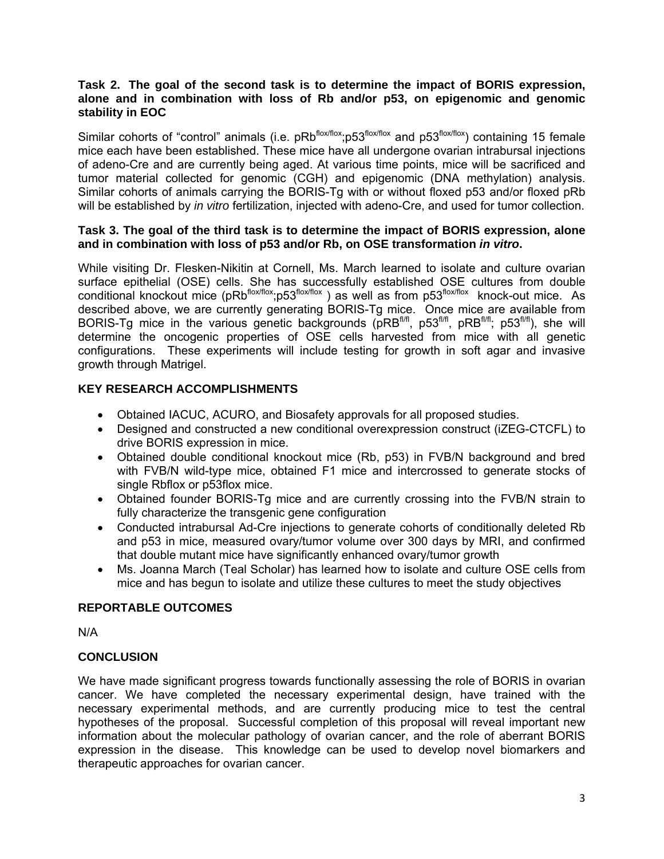#### **Task 2. The goal of the second task is to determine the impact of BORIS expression, alone and in combination with loss of Rb and/or p53, on epigenomic and genomic stability in EOC**

Similar cohorts of "control" animals (i.e. pRb<sup>flox/flox</sup>;p53<sup>flox/flox</sup> and p53<sup>flox/flox</sup>) containing 15 female mice each have been established. These mice have all undergone ovarian intrabursal injections of adeno-Cre and are currently being aged. At various time points, mice will be sacrificed and tumor material collected for genomic (CGH) and epigenomic (DNA methylation) analysis. Similar cohorts of animals carrying the BORIS-Tg with or without floxed p53 and/or floxed pRb will be established by *in vitro* fertilization, injected with adeno-Cre, and used for tumor collection.

#### **Task 3. The goal of the third task is to determine the impact of BORIS expression, alone and in combination with loss of p53 and/or Rb, on OSE transformation** *in vitro***.**

While visiting Dr. Flesken-Nikitin at Cornell, Ms. March learned to isolate and culture ovarian surface epithelial (OSE) cells. She has successfully established OSE cultures from double conditional knockout mice (pRbflox/flox;p53flox/flox ) as well as from p53flox/flox knock-out mice. As described above, we are currently generating BORIS-Tg mice. Once mice are available from BORIS-Tg mice in the various genetic backgrounds (pRB<sup>fl/fl</sup>, p53<sup>fl/fl</sup>, pRB<sup>fl/fl</sup>; p53<sup>fl/fl</sup>), she will determine the oncogenic properties of OSE cells harvested from mice with all genetic configurations. These experiments will include testing for growth in soft agar and invasive growth through Matrigel.

## **KEY RESEARCH ACCOMPLISHMENTS**

- Obtained IACUC, ACURO, and Biosafety approvals for all proposed studies.
- Designed and constructed a new conditional overexpression construct (iZEG-CTCFL) to drive BORIS expression in mice.
- Obtained double conditional knockout mice (Rb, p53) in FVB/N background and bred with FVB/N wild-type mice, obtained F1 mice and intercrossed to generate stocks of single Rbflox or p53flox mice.
- Obtained founder BORIS-Tg mice and are currently crossing into the FVB/N strain to fully characterize the transgenic gene configuration
- Conducted intrabursal Ad-Cre injections to generate cohorts of conditionally deleted Rb and p53 in mice, measured ovary/tumor volume over 300 days by MRI, and confirmed that double mutant mice have significantly enhanced ovary/tumor growth
- Ms. Joanna March (Teal Scholar) has learned how to isolate and culture OSE cells from mice and has begun to isolate and utilize these cultures to meet the study objectives

## **REPORTABLE OUTCOMES**

N/A

## **CONCLUSION**

We have made significant progress towards functionally assessing the role of BORIS in ovarian cancer. We have completed the necessary experimental design, have trained with the necessary experimental methods, and are currently producing mice to test the central hypotheses of the proposal. Successful completion of this proposal will reveal important new information about the molecular pathology of ovarian cancer, and the role of aberrant BORIS expression in the disease. This knowledge can be used to develop novel biomarkers and therapeutic approaches for ovarian cancer.